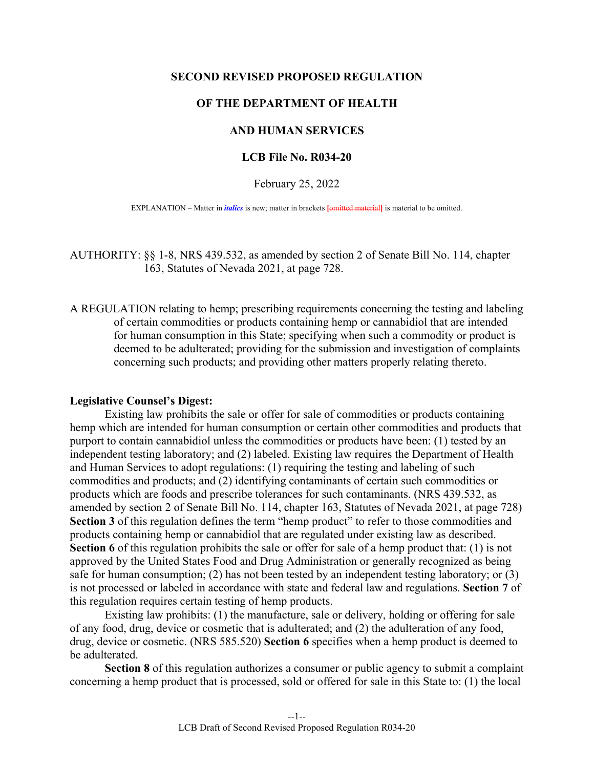## **SECOND REVISED PROPOSED REGULATION**

## **OF THE DEPARTMENT OF HEALTH**

# **AND HUMAN SERVICES**

## **LCB File No. R034-20**

February 25, 2022

EXPLANATION – Matter in *italics* is new; matter in brackets [omitted material] is material to be omitted.

AUTHORITY: §§ 1-8, NRS 439.532, as amended by section 2 of Senate Bill No. 114, chapter 163, Statutes of Nevada 2021, at page 728.

A REGULATION relating to hemp; prescribing requirements concerning the testing and labeling of certain commodities or products containing hemp or cannabidiol that are intended for human consumption in this State; specifying when such a commodity or product is deemed to be adulterated; providing for the submission and investigation of complaints concerning such products; and providing other matters properly relating thereto.

#### **Legislative Counsel's Digest:**

 Existing law prohibits the sale or offer for sale of commodities or products containing hemp which are intended for human consumption or certain other commodities and products that purport to contain cannabidiol unless the commodities or products have been: (1) tested by an independent testing laboratory; and (2) labeled. Existing law requires the Department of Health and Human Services to adopt regulations: (1) requiring the testing and labeling of such commodities and products; and (2) identifying contaminants of certain such commodities or products which are foods and prescribe tolerances for such contaminants. (NRS 439.532, as amended by section 2 of Senate Bill No. 114, chapter 163, Statutes of Nevada 2021, at page 728) **Section 3** of this regulation defines the term "hemp product" to refer to those commodities and products containing hemp or cannabidiol that are regulated under existing law as described. **Section 6** of this regulation prohibits the sale or offer for sale of a hemp product that: (1) is not approved by the United States Food and Drug Administration or generally recognized as being safe for human consumption; (2) has not been tested by an independent testing laboratory; or (3) is not processed or labeled in accordance with state and federal law and regulations. **Section 7** of this regulation requires certain testing of hemp products.

 Existing law prohibits: (1) the manufacture, sale or delivery, holding or offering for sale of any food, drug, device or cosmetic that is adulterated; and (2) the adulteration of any food, drug, device or cosmetic. (NRS 585.520) **Section 6** specifies when a hemp product is deemed to be adulterated.

**Section 8** of this regulation authorizes a consumer or public agency to submit a complaint concerning a hemp product that is processed, sold or offered for sale in this State to: (1) the local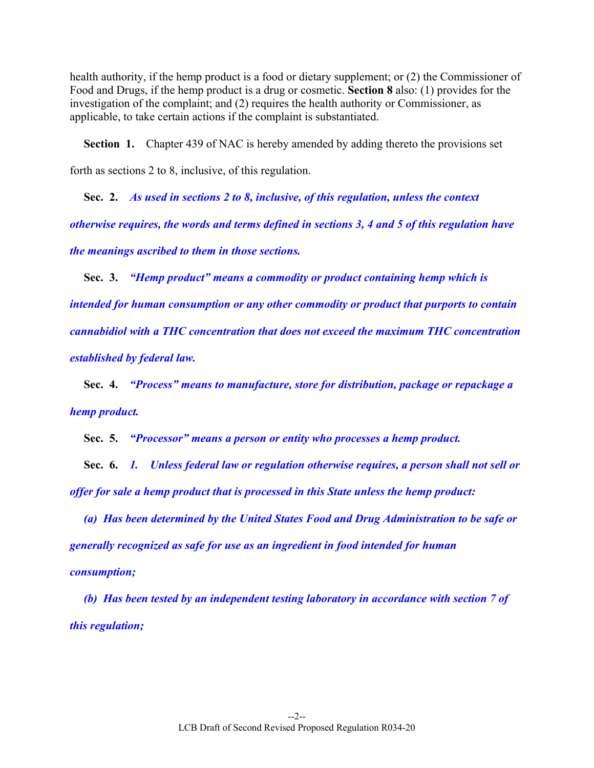health authority, if the hemp product is a food or dietary supplement; or (2) the Commissioner of Food and Drugs, if the hemp product is a drug or cosmetic. **Section 8** also: (1) provides for the investigation of the complaint; and (2) requires the health authority or Commissioner, as applicable, to take certain actions if the complaint is substantiated.

**Section 1.** Chapter 439 of NAC is hereby amended by adding thereto the provisions set forth as sections 2 to 8, inclusive, of this regulation.

 **Sec. 2.** *As used in sections 2 to 8, inclusive, of this regulation, unless the context otherwise requires, the words and terms defined in sections 3, 4 and 5 of this regulation have the meanings ascribed to them in those sections.* 

 **Sec. 3.** *"Hemp product" means a commodity or product containing hemp which is intended for human consumption or any other commodity or product that purports to contain cannabidiol with a THC concentration that does not exceed the maximum THC concentration established by federal law.* 

 **Sec. 4.** *"Process" means to manufacture, store for distribution, package or repackage a hemp product.* 

 **Sec. 5.** *"Processor" means a person or entity who processes a hemp product.* 

 **Sec. 6.** *1. Unless federal law or regulation otherwise requires, a person shall not sell or offer for sale a hemp product that is processed in this State unless the hemp product:* 

 *(a) Has been determined by the United States Food and Drug Administration to be safe or generally recognized as safe for use as an ingredient in food intended for human consumption;* 

 *(b) Has been tested by an independent testing laboratory in accordance with section 7 of this regulation;*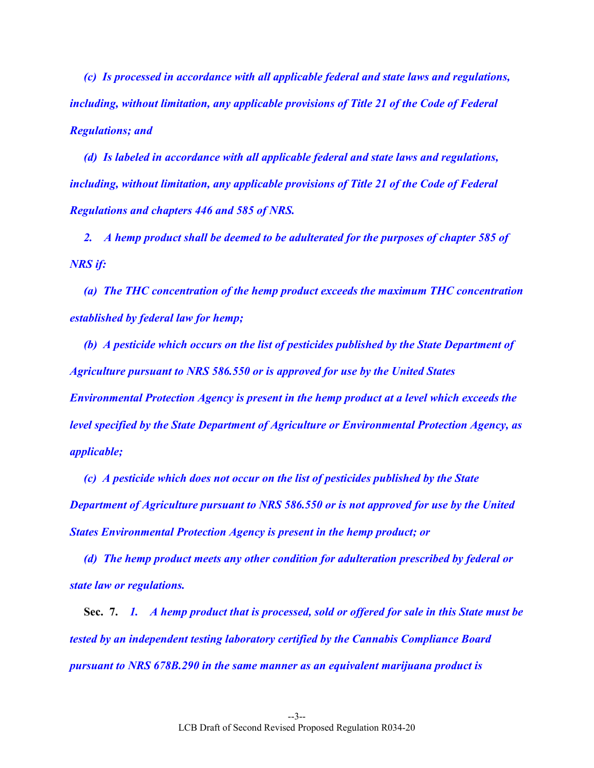*(c) Is processed in accordance with all applicable federal and state laws and regulations, including, without limitation, any applicable provisions of Title 21 of the Code of Federal Regulations; and* 

 *(d) Is labeled in accordance with all applicable federal and state laws and regulations, including, without limitation, any applicable provisions of Title 21 of the Code of Federal Regulations and chapters 446 and 585 of NRS.* 

 *2. A hemp product shall be deemed to be adulterated for the purposes of chapter 585 of NRS if:* 

 *(a) The THC concentration of the hemp product exceeds the maximum THC concentration established by federal law for hemp;* 

 *(b) A pesticide which occurs on the list of pesticides published by the State Department of Agriculture pursuant to NRS 586.550 or is approved for use by the United States Environmental Protection Agency is present in the hemp product at a level which exceeds the level specified by the State Department of Agriculture or Environmental Protection Agency, as applicable;* 

 *(c) A pesticide which does not occur on the list of pesticides published by the State Department of Agriculture pursuant to NRS 586.550 or is not approved for use by the United States Environmental Protection Agency is present in the hemp product; or* 

 *(d) The hemp product meets any other condition for adulteration prescribed by federal or state law or regulations.* 

 **Sec. 7.** *1. A hemp product that is processed, sold or offered for sale in this State must be tested by an independent testing laboratory certified by the Cannabis Compliance Board pursuant to NRS 678B.290 in the same manner as an equivalent marijuana product is*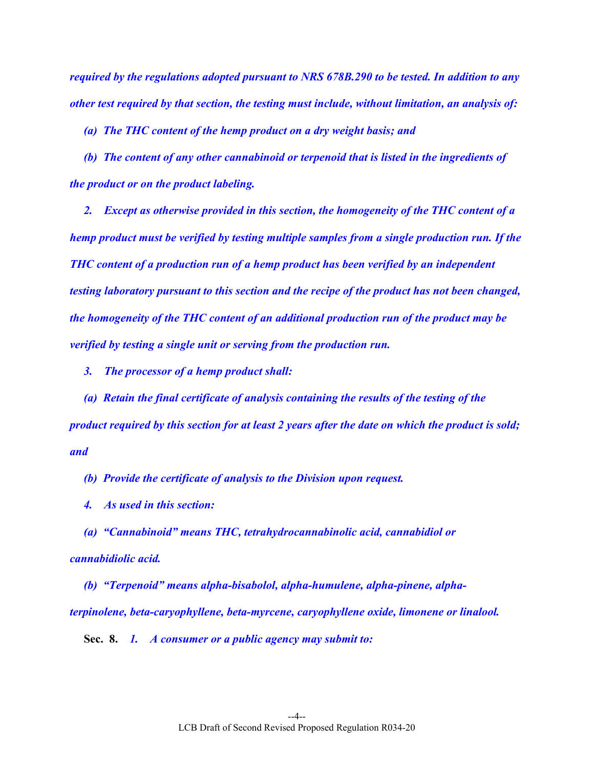*required by the regulations adopted pursuant to NRS 678B.290 to be tested. In addition to any other test required by that section, the testing must include, without limitation, an analysis of:* 

 *(a) The THC content of the hemp product on a dry weight basis; and* 

 *(b) The content of any other cannabinoid or terpenoid that is listed in the ingredients of the product or on the product labeling.* 

 *2. Except as otherwise provided in this section, the homogeneity of the THC content of a hemp product must be verified by testing multiple samples from a single production run. If the THC content of a production run of a hemp product has been verified by an independent testing laboratory pursuant to this section and the recipe of the product has not been changed, the homogeneity of the THC content of an additional production run of the product may be verified by testing a single unit or serving from the production run.* 

 *3. The processor of a hemp product shall:* 

 *(a) Retain the final certificate of analysis containing the results of the testing of the product required by this section for at least 2 years after the date on which the product is sold; and* 

 *(b) Provide the certificate of analysis to the Division upon request.* 

 *4. As used in this section:* 

 *(a) "Cannabinoid" means THC, tetrahydrocannabinolic acid, cannabidiol or cannabidiolic acid.* 

 *(b) "Terpenoid" means alpha-bisabolol, alpha-humulene, alpha-pinene, alphaterpinolene, beta-caryophyllene, beta-myrcene, caryophyllene oxide, limonene or linalool.* 

 **Sec. 8.** *1. A consumer or a public agency may submit to:*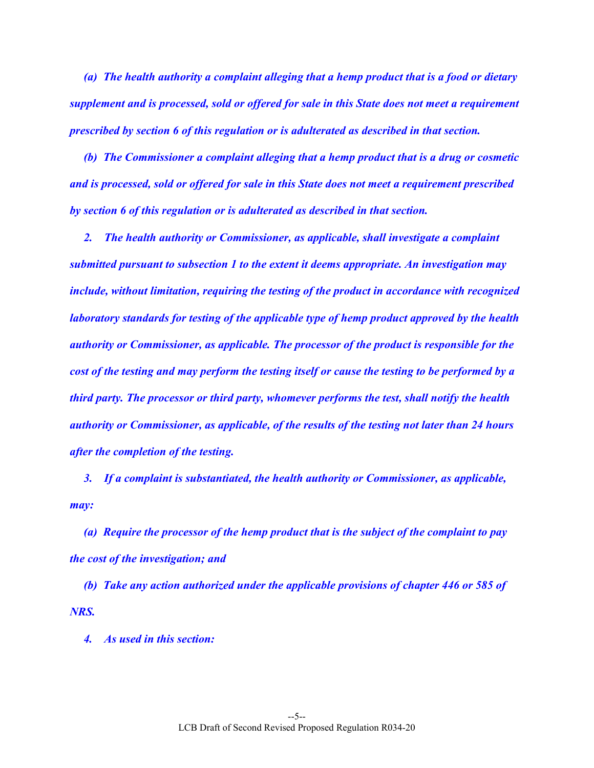*(a) The health authority a complaint alleging that a hemp product that is a food or dietary supplement and is processed, sold or offered for sale in this State does not meet a requirement prescribed by section 6 of this regulation or is adulterated as described in that section.* 

 *(b) The Commissioner a complaint alleging that a hemp product that is a drug or cosmetic and is processed, sold or offered for sale in this State does not meet a requirement prescribed by section 6 of this regulation or is adulterated as described in that section.* 

 *2. The health authority or Commissioner, as applicable, shall investigate a complaint submitted pursuant to subsection 1 to the extent it deems appropriate. An investigation may include, without limitation, requiring the testing of the product in accordance with recognized laboratory standards for testing of the applicable type of hemp product approved by the health authority or Commissioner, as applicable. The processor of the product is responsible for the cost of the testing and may perform the testing itself or cause the testing to be performed by a third party. The processor or third party, whomever performs the test, shall notify the health authority or Commissioner, as applicable, of the results of the testing not later than 24 hours after the completion of the testing.* 

 *3. If a complaint is substantiated, the health authority or Commissioner, as applicable, may:* 

 *(a) Require the processor of the hemp product that is the subject of the complaint to pay the cost of the investigation; and* 

 *(b) Take any action authorized under the applicable provisions of chapter 446 or 585 of NRS.* 

 *4. As used in this section:*